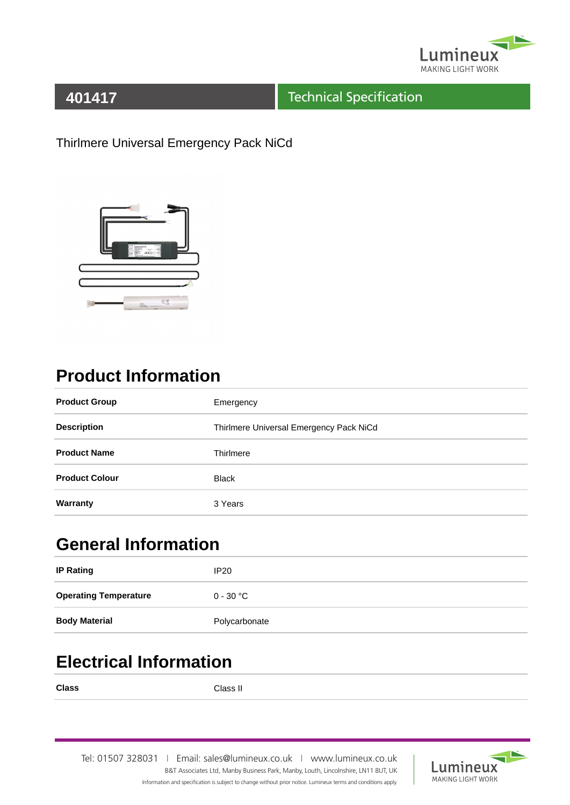

### **401417**

#### Technical Specification

Thirlmere Universal Emergency Pack NiCd



# **Product Information**

| <b>Product Group</b>  | Emergency                               |
|-----------------------|-----------------------------------------|
| <b>Description</b>    | Thirlmere Universal Emergency Pack NiCd |
| <b>Product Name</b>   | Thirlmere                               |
| <b>Product Colour</b> | <b>Black</b>                            |
| Warranty              | 3 Years                                 |

## **General Information**

| <b>IP Rating</b>             | IP20          |
|------------------------------|---------------|
| <b>Operating Temperature</b> | $0 - 30 °C$   |
| <b>Body Material</b>         | Polycarbonate |

## **Electrical Information**

**Class** Class II

Tel: 01507 328031IEmail: sales@lumineux.co.ukIwww.lumineux.co.uk B&T Associates Ltd, Manby Business Park, Manby, Louth, Lincolnshire, LN11 8UT, UK Information and specification is subject to change without prior notice. Lumineux terms and conditions apply.

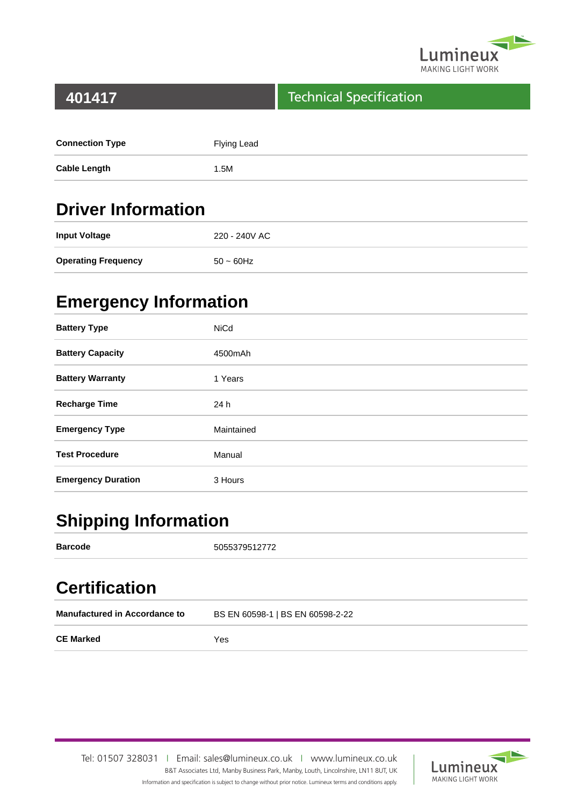

#### **401417**

#### Technical Specification

| <b>Connection Type</b> | Flying Lead |
|------------------------|-------------|
| <b>Cable Length</b>    | 1.5M        |

## **Driver Information**

| <b>Input Voltage</b>       | 220 - 240V AC |
|----------------------------|---------------|
| <b>Operating Frequency</b> | $50 - 60$ Hz  |

## **Emergency Information**

| <b>Battery Type</b>       | <b>NiCd</b> |
|---------------------------|-------------|
| <b>Battery Capacity</b>   | 4500mAh     |
| <b>Battery Warranty</b>   | 1 Years     |
| <b>Recharge Time</b>      | 24 h        |
| <b>Emergency Type</b>     | Maintained  |
| <b>Test Procedure</b>     | Manual      |
| <b>Emergency Duration</b> | 3 Hours     |

## **Shipping Information**

| <b>Barcode</b>                       | 5055379512772                    |
|--------------------------------------|----------------------------------|
| <b>Certification</b>                 |                                  |
| <b>Manufactured in Accordance to</b> | BS EN 60598-1   BS EN 60598-2-22 |
| <b>CE Marked</b>                     | Yes                              |

Tel: 01507 328031IEmail: sales@lumineux.co.ukIwww.lumineux.co.uk B&T Associates Ltd, Manby Business Park, Manby, Louth, Lincolnshire, LN11 8UT, UK Information and specification is subject to change without prior notice. Lumineux terms and conditions apply.